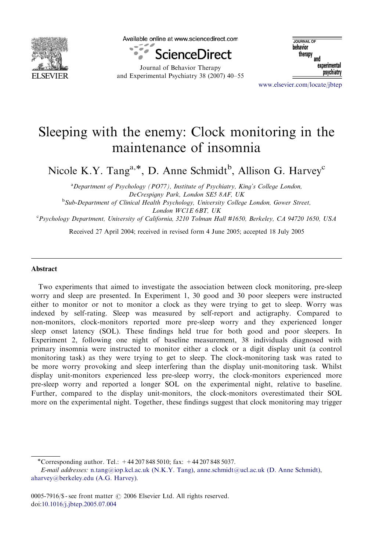

Available online at www.sciencedirect.com



Journal of Behavior Therapy and Experimental Psychiatry 38 (2007) 40–55

JOURNAL OF hehavior navior<br>therapy <sub>and</sub> experimental psychiatry

<www.elsevier.com/locate/jbtep>

# Sleeping with the enemy: Clock monitoring in the maintenance of insomnia

Nicole K.Y. Tang<sup>a,\*</sup>, D. Anne Schmidt<sup>b</sup>, Allison G. Harvey<sup>c</sup>

<sup>a</sup>Department of Psychology (PO77), Institute of Psychiatry, King's College London, DeCrespigny Park, London SE5 8AF, UK

<sup>b</sup>Sub-Department of Clinical Health Psychology, University College London, Gower Street, London WC1E 6BT, UK

c Psychology Department, University of California, 3210 Tolman Hall #1650, Berkeley, CA 94720 1650, USA

Received 27 April 2004; received in revised form 4 June 2005; accepted 18 July 2005

#### Abstract

Two experiments that aimed to investigate the association between clock monitoring, pre-sleep worry and sleep are presented. In Experiment 1, 30 good and 30 poor sleepers were instructed either to monitor or not to monitor a clock as they were trying to get to sleep. Worry was indexed by self-rating. Sleep was measured by self-report and actigraphy. Compared to non-monitors, clock-monitors reported more pre-sleep worry and they experienced longer sleep onset latency (SOL). These findings held true for both good and poor sleepers. In Experiment 2, following one night of baseline measurement, 38 individuals diagnosed with primary insomnia were instructed to monitor either a clock or a digit display unit (a control monitoring task) as they were trying to get to sleep. The clock-monitoring task was rated to be more worry provoking and sleep interfering than the display unit-monitoring task. Whilst display unit-monitors experienced less pre-sleep worry, the clock-monitors experienced more pre-sleep worry and reported a longer SOL on the experimental night, relative to baseline. Further, compared to the display unit-monitors, the clock-monitors overestimated their SOL more on the experimental night. Together, these findings suggest that clock monitoring may trigger

<sup>-</sup>Corresponding author. Tel.: +44 207 848 5010; fax: +44 207 848 5037.

E-mail addresses: n.tang@iop.kcl.ac.uk (N.K.Y. Tang), [anne.schmidt@ucl.ac.uk \(D. Anne Schmidt\),](mailto:anne.schmidt@ucl.ac.uk) [aharvey@berkeley.edu \(A.G. Harvey\).](mailto:aharvey@berkeley.edu)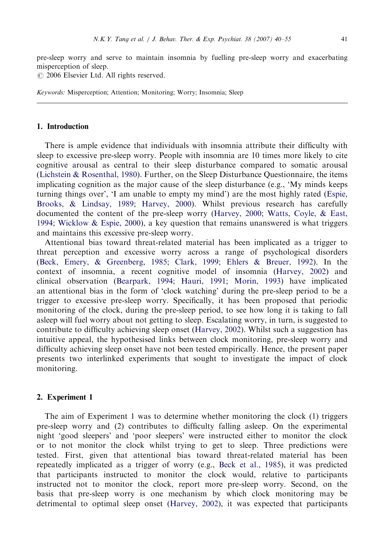pre-sleep worry and serve to maintain insomnia by fuelling pre-sleep worry and exacerbating misperception of sleep.

 $\odot$  2006 Elsevier Ltd. All rights reserved.

Keywords: Misperception; Attention; Monitoring; Worry; Insomnia; Sleep

# 1. Introduction

There is ample evidence that individuals with insomnia attribute their difficulty with sleep to excessive pre-sleep worry. People with insomnia are 10 times more likely to cite cognitive arousal as central to their sleep disturbance compared to somatic arousal ([Lichstein](#page-15-0) & [Rosenthal, 1980](#page-15-0)). Further, on the Sleep Disturbance Questionnaire, the items implicating cognition as the major cause of the sleep disturbance (e.g., 'My minds keeps turning things over', 'I am unable to empty my mind') are the most highly rated ([Espie,](#page-14-0) [Brooks,](#page-14-0) & [Lindsay, 1989](#page-14-0); [Harvey, 2000\)](#page-14-0). Whilst previous research has carefully documented the content of the pre-sleep worry [\(Harvey, 2000](#page-14-0); [Watts, Coyle,](#page-15-0) [& East,](#page-15-0) [1994](#page-15-0); [Wicklow](#page-15-0) & [Espie, 2000\)](#page-15-0), a key question that remains unanswered is what triggers and maintains this excessive pre-sleep worry.

Attentional bias toward threat-related material has been implicated as a trigger to threat perception and excessive worry across a range of psychological disorders ([Beck, Emery,](#page-14-0) & [Greenberg, 1985](#page-14-0); [Clark, 1999](#page-14-0); [Ehlers & Breuer, 1992\)](#page-14-0). In the context of insomnia, a recent cognitive model of insomnia [\(Harvey, 2002\)](#page-14-0) and clinical observation ([Bearpark, 1994;](#page-14-0) [Hauri, 1991](#page-15-0); [Morin, 1993\)](#page-15-0) have implicated an attentional bias in the form of 'clock watching' during the pre-sleep period to be a trigger to excessive pre-sleep worry. Specifically, it has been proposed that periodic monitoring of the clock, during the pre-sleep period, to see how long it is taking to fall asleep will fuel worry about not getting to sleep. Escalating worry, in turn, is suggested to contribute to difficulty achieving sleep onset ([Harvey, 2002\)](#page-14-0). Whilst such a suggestion has intuitive appeal, the hypothesised links between clock monitoring, pre-sleep worry and difficulty achieving sleep onset have not been tested empirically. Hence, the present paper presents two interlinked experiments that sought to investigate the impact of clock monitoring.

## 2. Experiment 1

The aim of Experiment 1 was to determine whether monitoring the clock (1) triggers pre-sleep worry and (2) contributes to difficulty falling asleep. On the experimental night 'good sleepers' and 'poor sleepers' were instructed either to monitor the clock or to not monitor the clock whilst trying to get to sleep. Three predictions were tested. First, given that attentional bias toward threat-related material has been repeatedly implicated as a trigger of worry (e.g., [Beck et al., 1985\)](#page-14-0), it was predicted that participants instructed to monitor the clock would, relative to participants instructed not to monitor the clock, report more pre-sleep worry. Second, on the basis that pre-sleep worry is one mechanism by which clock monitoring may be detrimental to optimal sleep onset ([Harvey, 2002](#page-14-0)), it was expected that participants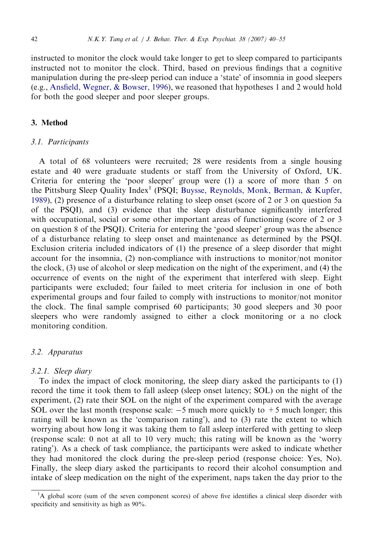instructed to monitor the clock would take longer to get to sleep compared to participants instructed not to monitor the clock. Third, based on previous findings that a cognitive manipulation during the pre-sleep period can induce a 'state' of insomnia in good sleepers (e.g., [Ansfield, Wegner, & Bowser, 1996\)](#page-14-0), we reasoned that hypotheses 1 and 2 would hold for both the good sleeper and poor sleeper groups.

#### 3. Method

#### 3.1. Participants

A total of 68 volunteers were recruited; 28 were residents from a single housing estate and 40 were graduate students or staff from the University of Oxford, UK. Criteria for entering the 'poor sleeper' group were (1) a score of more than 5 on the Pittsburg Sleep Quality Index<sup>1</sup> (PSQI; [Buysse, Reynolds, Monk, Berman, & Kupfer,](#page-14-0) [1989](#page-14-0)), (2) presence of a disturbance relating to sleep onset (score of 2 or 3 on question 5a of the PSQI), and (3) evidence that the sleep disturbance significantly interfered with occupational, social or some other important areas of functioning (score of 2 or 3 on question 8 of the PSQI). Criteria for entering the 'good sleeper' group was the absence of a disturbance relating to sleep onset and maintenance as determined by the PSQI. Exclusion criteria included indicators of (1) the presence of a sleep disorder that might account for the insomnia, (2) non-compliance with instructions to monitor/not monitor the clock, (3) use of alcohol or sleep medication on the night of the experiment, and (4) the occurrence of events on the night of the experiment that interfered with sleep. Eight participants were excluded; four failed to meet criteria for inclusion in one of both experimental groups and four failed to comply with instructions to monitor/not monitor the clock. The final sample comprised 60 participants; 30 good sleepers and 30 poor sleepers who were randomly assigned to either a clock monitoring or a no clock monitoring condition.

#### 3.2. Apparatus

## 3.2.1. Sleep diary

To index the impact of clock monitoring, the sleep diary asked the participants to (1) record the time it took them to fall asleep (sleep onset latency; SOL) on the night of the experiment, (2) rate their SOL on the night of the experiment compared with the average SOL over the last month (response scale:  $-5$  much more quickly to  $+5$  much longer; this rating will be known as the 'comparison rating'), and to (3) rate the extent to which worrying about how long it was taking them to fall asleep interfered with getting to sleep (response scale: 0 not at all to 10 very much; this rating will be known as the 'worry rating'). As a check of task compliance, the participants were asked to indicate whether they had monitored the clock during the pre-sleep period (response choice: Yes, No). Finally, the sleep diary asked the participants to record their alcohol consumption and intake of sleep medication on the night of the experiment, naps taken the day prior to the

<sup>&</sup>lt;sup>1</sup>A global score (sum of the seven component scores) of above five identifies a clinical sleep disorder with specificity and sensitivity as high as 90%.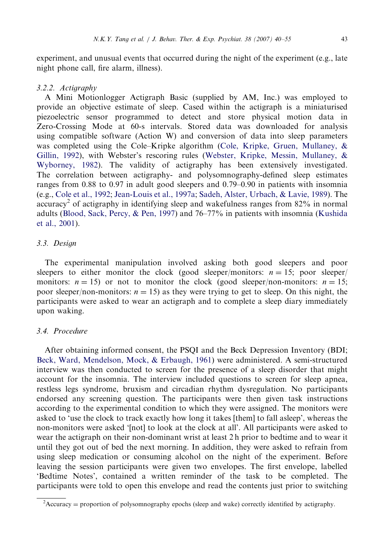experiment, and unusual events that occurred during the night of the experiment (e.g., late night phone call, fire alarm, illness).

## 3.2.2. Actigraphy

A Mini Motionlogger Actigraph Basic (supplied by AM, Inc.) was employed to provide an objective estimate of sleep. Cased within the actigraph is a miniaturised piezoelectric sensor programmed to detect and store physical motion data in Zero-Crossing Mode at 60-s intervals. Stored data was downloaded for analysis using compatible software (Action W) and conversion of data into sleep parameters was completed using the Cole–Kripke algorithm [\(Cole, Kripke, Gruen, Mullaney, &](#page-14-0) [Gillin, 1992\)](#page-14-0), with Webster's rescoring rules [\(Webster, Kripke, Messin, Mullaney, &](#page-15-0) [Wyborney, 1982\)](#page-15-0). The validity of actigraphy has been extensively investigated. The correlation between actigraphy- and polysomnography-defined sleep estimates ranges from 0.88 to 0.97 in adult good sleepers and 0.79–0.90 in patients with insomnia (e.g., [Cole et al., 1992](#page-14-0); [Jean-Louis et al., 1997a](#page-15-0); [Sadeh, Alster, Urbach, & Lavie, 1989](#page-15-0)). The  $accuracy<sup>2</sup>$  of actigraphy in identifying sleep and wakefulness ranges from 82% in normal adults [\(Blood, Sack, Percy, & Pen, 1997\)](#page-14-0) and 76–77% in patients with insomnia [\(Kushida](#page-15-0) [et al., 2001\)](#page-15-0).

# 3.3. Design

The experimental manipulation involved asking both good sleepers and poor sleepers to either monitor the clock (good sleeper/monitors:  $n = 15$ ; poor sleeper/ monitors:  $n = 15$ ) or not to monitor the clock (good sleeper/non-monitors:  $n = 15$ ; poor sleeper/non-monitors:  $n = 15$ ) as they were trying to get to sleep. On this night, the participants were asked to wear an actigraph and to complete a sleep diary immediately upon waking.

# 3.4. Procedure

After obtaining informed consent, the PSQI and the Beck Depression Inventory (BDI; [Beck, Ward, Mendelson, Mock,](#page-14-0) & [Erbaugh, 1961](#page-14-0)) were administered. A semi-structured interview was then conducted to screen for the presence of a sleep disorder that might account for the insomnia. The interview included questions to screen for sleep apnea, restless legs syndrome, bruxism and circadian rhythm dysregulation. No participants endorsed any screening question. The participants were then given task instructions according to the experimental condition to which they were assigned. The monitors were asked to 'use the clock to track exactly how long it takes [them] to fall asleep', whereas the non-monitors were asked '[not] to look at the clock at all'. All participants were asked to wear the actigraph on their non-dominant wrist at least 2 h prior to bedtime and to wear it until they got out of bed the next morning. In addition, they were asked to refrain from using sleep medication or consuming alcohol on the night of the experiment. Before leaving the session participants were given two envelopes. The first envelope, labelled 'Bedtime Notes', contained a written reminder of the task to be completed. The participants were told to open this envelope and read the contents just prior to switching

 $A$ ccuracy = proportion of polysomnography epochs (sleep and wake) correctly identified by actigraphy.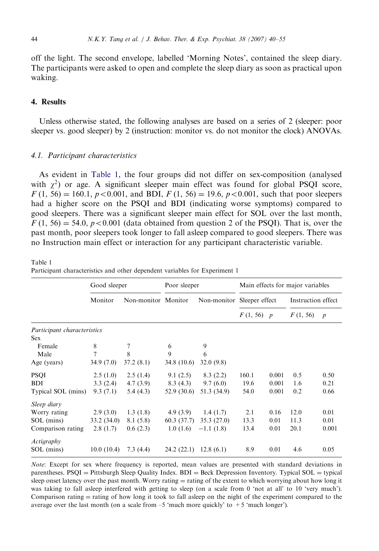<span id="page-4-0"></span>off the light. The second envelope, labelled 'Morning Notes', contained the sleep diary. The participants were asked to open and complete the sleep diary as soon as practical upon waking.

# 4. Results

Unless otherwise stated, the following analyses are based on a series of 2 (sleeper: poor sleeper vs. good sleeper) by 2 (instruction: monitor vs. do not monitor the clock) ANOVAs.

#### 4.1. Participant characteristics

As evident in Table 1, the four groups did not differ on sex-composition (analysed with  $\chi^2$ ) or age. A significant sleeper main effect was found for global PSQI score,  $F(1, 56) = 160.1, p < 0.001$ , and BDI,  $F(1, 56) = 19.6, p < 0.001$ , such that poor sleepers had a higher score on the PSQI and BDI (indicating worse symptoms) compared to good sleepers. There was a significant sleeper main effect for SOL over the last month,  $F(1, 56) = 54.0, p < 0.001$  (data obtained from question 2 of the PSOI). That is, over the past month, poor sleepers took longer to fall asleep compared to good sleepers. There was no Instruction main effect or interaction for any participant characteristic variable.

Good sleeper Poor sleeper Main effects for major variables Monitor Non-monitor Monitor Non-monitor Sleeper effect Instruction effect  $F(1, 56)$  p  $F(1, 56)$  p Participant characteristics Sex Female 8 7 6 9 Male 7 8 9 6 Age (years) 34.9 (7.0) 37.2 (8.1) 34.8 (10.6) 32.0 (9.8) PSQI 2.5 (1.0) 2.5 (1.4) 9.1 (2.5) 8.3 (2.2) 160.1 0.001 0.5 0.50 BDI 3.3 (2.4) 4.7 (3.9) 8.3 (4.3) 9.7 (6.0) 19.6 0.001 1.6 0.21 Typical SOL (mins) 9.3 (7.1) 5.4 (4.3) 52.9 (30.6) 51.3 (34.9) 54.0 0.001 0.2 0.66 Sleep diary Worry rating 2.9 (3.0) 1.3 (1.8) 4.9 (3.9) 1.4 (1.7) 2.1 0.16 12.0 0.01 SOL (mins) 33.2 (34.0) 8.1 (5.8) 60.3 (37.7) 35.3 (27.0) 13.3 0.01 11.3 0.01 Comparison rating  $2.8$  (1.7)  $0.6$  (2.3)  $1.0$  (1.6)  $-1.1$  (1.8)  $13.4$  0.01 20.1 0.001 Actigraphy SOL (mins) 10.0 (10.4) 7.3 (4.4) 24.2 (22.1) 12.8 (6.1) 8.9 0.01 4.6 0.05

Table 1 Participant characteristics and other dependent variables for Experiment 1

Note: Except for sex where frequency is reported, mean values are presented with standard deviations in parentheses.  $PSQI =$  Pittsburgh Sleep Quality Index.  $BDI =$  Beck Depression Inventory. Typical  $SOL =$  typical sleep onset latency over the past month. Worry rating  $=$  rating of the extent to which worrying about how long it was taking to fall asleep interfered with getting to sleep (on a scale from 0 'not at all' to 10 'very much'). Comparison rating  $=$  rating of how long it took to fall asleep on the night of the experiment compared to the average over the last month (on a scale from  $-5$  'much more quickly' to  $+5$  'much longer').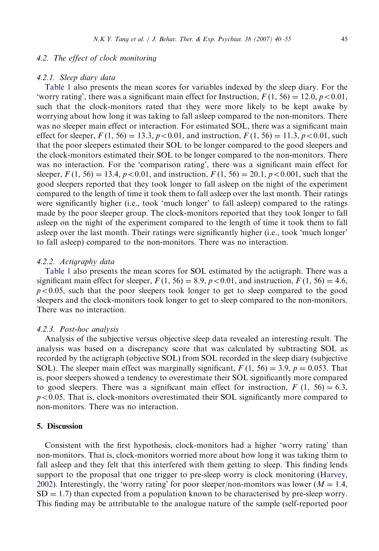## 4.2. The effect of clock monitoring

## 4.2.1. Sleep diary data

[Table 1](#page-4-0) also presents the mean scores for variables indexed by the sleep diary. For the 'worry rating', there was a significant main effect for Instruction,  $F(1, 56) = 12.0, p < 0.01$ , such that the clock-monitors rated that they were more likely to be kept awake by worrying about how long it was taking to fall asleep compared to the non-monitors. There was no sleeper main effect or interaction. For estimated SOL, there was a significant main effect for sleeper,  $F(1, 56) = 13.3$ ,  $p < 0.01$ , and instruction,  $F(1, 56) = 11.3$ ,  $p < 0.01$ , such that the poor sleepers estimated their SOL to be longer compared to the good sleepers and the clock-monitors estimated their SOL to be longer compared to the non-monitors. There was no interaction. For the 'comparison rating', there was a significant main effect for sleeper,  $F(1, 56) = 13.4$ ,  $p < 0.01$ , and instruction,  $F(1, 56) = 20.1$ ,  $p < 0.001$ , such that the good sleepers reported that they took longer to fall asleep on the night of the experiment compared to the length of time it took them to fall asleep over the last month. Their ratings were significantly higher (i.e., took 'much longer' to fall asleep) compared to the ratings made by the poor sleeper group. The clock-monitors reported that they took longer to fall asleep on the night of the experiment compared to the length of time it took them to fall asleep over the last month. Their ratings were significantly higher (i.e., took 'much longer' to fall asleep) compared to the non-monitors. There was no interaction.

## 4.2.2. Actigraphy data

[Table 1](#page-4-0) also presents the mean scores for SOL estimated by the actigraph. There was a significant main effect for sleeper,  $F(1, 56) = 8.9, p < 0.01$ , and instruction,  $F(1, 56) = 4.6$ ,  $p<0.05$ , such that the poor sleepers took longer to get to sleep compared to the good sleepers and the clock-monitors took longer to get to sleep compared to the non-monitors. There was no interaction.

## 4.2.3. Post-hoc analysis

Analysis of the subjective versus objective sleep data revealed an interesting result. The analysis was based on a discrepancy score that was calculated by subtracting SOL as recorded by the actigraph (objective SOL) from SOL recorded in the sleep diary (subjective SOL). The sleeper main effect was marginally significant,  $F(1, 56) = 3.9$ ,  $p = 0.053$ . That is, poor sleepers showed a tendency to overestimate their SOL significantly more compared to good sleepers. There was a significant main effect for instruction,  $F(1, 56) = 6.3$ ,  $p<0.05$ . That is, clock-monitors overestimated their SOL significantly more compared to non-monitors. There was no interaction.

# 5. Discussion

Consistent with the first hypothesis, clock-monitors had a higher 'worry rating' than non-monitors. That is, clock-monitors worried more about how long it was taking them to fall asleep and they felt that this interfered with them getting to sleep. This finding lends support to the proposal that one trigger to pre-sleep worry is clock monitoring [\(Harvey,](#page-14-0) [2002](#page-14-0)). Interestingly, the 'worry rating' for poor sleeper/non-monitors was lower  $(M = 1.4,$  $SD = 1.7$ ) than expected from a population known to be characterised by pre-sleep worry. This finding may be attributable to the analogue nature of the sample (self-reported poor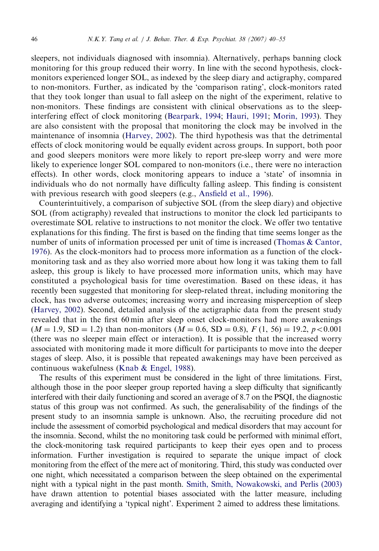sleepers, not individuals diagnosed with insomnia). Alternatively, perhaps banning clock monitoring for this group reduced their worry. In line with the second hypothesis, clockmonitors experienced longer SOL, as indexed by the sleep diary and actigraphy, compared to non-monitors. Further, as indicated by the 'comparison rating', clock-monitors rated that they took longer than usual to fall asleep on the night of the experiment, relative to non-monitors. These findings are consistent with clinical observations as to the sleepinterfering effect of clock monitoring ([Bearpark, 1994;](#page-14-0) [Hauri, 1991;](#page-15-0) [Morin, 1993](#page-15-0)). They are also consistent with the proposal that monitoring the clock may be involved in the maintenance of insomnia ([Harvey, 2002](#page-14-0)). The third hypothesis was that the detrimental effects of clock monitoring would be equally evident across groups. In support, both poor and good sleepers monitors were more likely to report pre-sleep worry and were more likely to experience longer SOL compared to non-monitors (i.e., there were no interaction effects). In other words, clock monitoring appears to induce a 'state' of insomnia in individuals who do not normally have difficulty falling asleep. This finding is consistent with previous research with good sleepers (e.g., [Ansfield et al., 1996\)](#page-14-0).

Counterintuitively, a comparison of subjective SOL (from the sleep diary) and objective SOL (from actigraphy) revealed that instructions to monitor the clock led participants to overestimate SOL relative to instructions to not monitor the clock. We offer two tentative explanations for this finding. The first is based on the finding that time seems longer as the number of units of information processed per unit of time is increased ([Thomas & Cantor,](#page-15-0) [1976](#page-15-0)). As the clock-monitors had to process more information as a function of the clockmonitoring task and as they also worried more about how long it was taking them to fall asleep, this group is likely to have processed more information units, which may have constituted a psychological basis for time overestimation. Based on these ideas, it has recently been suggested that monitoring for sleep-related threat, including monitoring the clock, has two adverse outcomes; increasing worry and increasing misperception of sleep ([Harvey, 2002](#page-14-0)). Second, detailed analysis of the actigraphic data from the present study revealed that in the first 60 min after sleep onset clock-monitors had more awakenings  $(M = 1.9, SD = 1.2)$  than non-monitors  $(M = 0.6, SD = 0.8)$ ,  $F(1, 56) = 19.2, p < 0.001$ (there was no sleeper main effect or interaction). It is possible that the increased worry associated with monitoring made it more difficult for participants to move into the deeper stages of sleep. Also, it is possible that repeated awakenings may have been perceived as continuous wakefulness ([Knab](#page-15-0) [& Engel, 1988\)](#page-15-0).

The results of this experiment must be considered in the light of three limitations. First, although those in the poor sleeper group reported having a sleep difficulty that significantly interfered with their daily functioning and scored an average of 8.7 on the PSQI, the diagnostic status of this group was not confirmed. As such, the generalisability of the findings of the present study to an insomnia sample is unknown. Also, the recruiting procedure did not include the assessment of comorbid psychological and medical disorders that may account for the insomnia. Second, whilst the no monitoring task could be performed with minimal effort, the clock-monitoring task required participants to keep their eyes open and to process information. Further investigation is required to separate the unique impact of clock monitoring from the effect of the mere act of monitoring. Third, this study was conducted over one night, which necessitated a comparison between the sleep obtained on the experimental night with a typical night in the past month. [Smith, Smith, Nowakowski, and Perlis \(2003\)](#page-15-0) have drawn attention to potential biases associated with the latter measure, including averaging and identifying a 'typical night'. Experiment 2 aimed to address these limitations.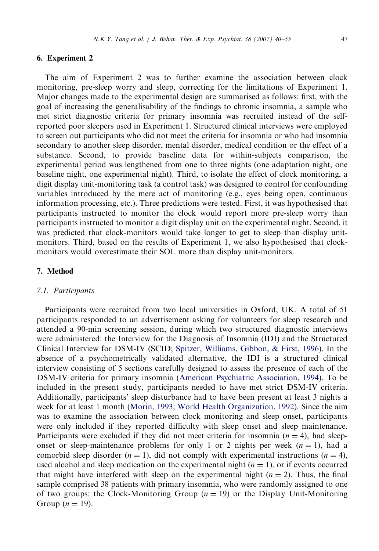#### 6. Experiment 2

The aim of Experiment 2 was to further examine the association between clock monitoring, pre-sleep worry and sleep, correcting for the limitations of Experiment 1. Major changes made to the experimental design are summarised as follows: first, with the goal of increasing the generalisability of the findings to chronic insomnia, a sample who met strict diagnostic criteria for primary insomnia was recruited instead of the selfreported poor sleepers used in Experiment 1. Structured clinical interviews were employed to screen out participants who did not meet the criteria for insomnia or who had insomnia secondary to another sleep disorder, mental disorder, medical condition or the effect of a substance. Second, to provide baseline data for within-subjects comparison, the experimental period was lengthened from one to three nights (one adaptation night, one baseline night, one experimental night). Third, to isolate the effect of clock monitoring, a digit display unit-monitoring task (a control task) was designed to control for confounding variables introduced by the mere act of monitoring (e.g., eyes being open, continuous information processing, etc.). Three predictions were tested. First, it was hypothesised that participants instructed to monitor the clock would report more pre-sleep worry than participants instructed to monitor a digit display unit on the experimental night. Second, it was predicted that clock-monitors would take longer to get to sleep than display unitmonitors. Third, based on the results of Experiment 1, we also hypothesised that clockmonitors would overestimate their SOL more than display unit-monitors.

## 7. Method

#### 7.1. Participants

Participants were recruited from two local universities in Oxford, UK. A total of 51 participants responded to an advertisement asking for volunteers for sleep research and attended a 90-min screening session, during which two structured diagnostic interviews were administered: the Interview for the Diagnosis of Insomnia (IDI) and the Structured Clinical Interview for DSM-IV (SCID; [Spitzer, Williams, Gibbon,](#page-15-0) & [First, 1996\)](#page-15-0). In the absence of a psychometrically validated alternative, the IDI is a structured clinical interview consisting of 5 sections carefully designed to assess the presence of each of the DSM-IV criteria for primary insomnia [\(American Psychiatric Association, 1994\)](#page-14-0). To be included in the present study, participants needed to have met strict DSM-IV criteria. Additionally, participants' sleep disturbance had to have been present at least 3 nights a week for at least 1 month ([Morin, 1993;](#page-15-0) [World Health Organization, 1992](#page-15-0)). Since the aim was to examine the association between clock monitoring and sleep onset, participants were only included if they reported difficulty with sleep onset and sleep maintenance. Participants were excluded if they did not meet criteria for insomnia  $(n = 4)$ , had sleeponset or sleep-maintenance problems for only 1 or 2 nights per week  $(n = 1)$ , had a comorbid sleep disorder  $(n = 1)$ , did not comply with experimental instructions  $(n = 4)$ , used alcohol and sleep medication on the experimental night  $(n = 1)$ , or if events occurred that might have interfered with sleep on the experimental night ( $n = 2$ ). Thus, the final sample comprised 38 patients with primary insomnia, who were randomly assigned to one of two groups: the Clock-Monitoring Group  $(n = 19)$  or the Display Unit-Monitoring Group ( $n = 19$ ).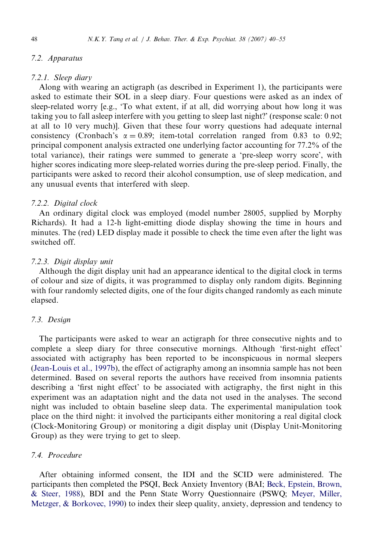# 7.2. Apparatus

## 7.2.1. Sleep diary

Along with wearing an actigraph (as described in Experiment 1), the participants were asked to estimate their SOL in a sleep diary. Four questions were asked as an index of sleep-related worry [e.g., 'To what extent, if at all, did worrying about how long it was taking you to fall asleep interfere with you getting to sleep last night?' (response scale: 0 not at all to 10 very much)]. Given that these four worry questions had adequate internal consistency (Cronbach's  $\alpha = 0.89$ ; item-total correlation ranged from 0.83 to 0.92; principal component analysis extracted one underlying factor accounting for 77.2% of the total variance), their ratings were summed to generate a 'pre-sleep worry score', with higher scores indicating more sleep-related worries during the pre-sleep period. Finally, the participants were asked to record their alcohol consumption, use of sleep medication, and any unusual events that interfered with sleep.

## 7.2.2. Digital clock

An ordinary digital clock was employed (model number 28005, supplied by Morphy Richards). It had a 12-h light-emitting diode display showing the time in hours and minutes. The (red) LED display made it possible to check the time even after the light was switched off.

# 7.2.3. Digit display unit

Although the digit display unit had an appearance identical to the digital clock in terms of colour and size of digits, it was programmed to display only random digits. Beginning with four randomly selected digits, one of the four digits changed randomly as each minute elapsed.

#### 7.3. Design

The participants were asked to wear an actigraph for three consecutive nights and to complete a sleep diary for three consecutive mornings. Although 'first-night effect' associated with actigraphy has been reported to be inconspicuous in normal sleepers ([Jean-Louis et al., 1997b](#page-15-0)), the effect of actigraphy among an insomnia sample has not been determined. Based on several reports the authors have received from insomnia patients describing a 'first night effect' to be associated with actigraphy, the first night in this experiment was an adaptation night and the data not used in the analyses. The second night was included to obtain baseline sleep data. The experimental manipulation took place on the third night: it involved the participants either monitoring a real digital clock (Clock-Monitoring Group) or monitoring a digit display unit (Display Unit-Monitoring Group) as they were trying to get to sleep.

# 7.4. Procedure

After obtaining informed consent, the IDI and the SCID were administered. The participants then completed the PSQI, Beck Anxiety Inventory (BAI; [Beck, Epstein, Brown,](#page-14-0) [& Steer, 1988](#page-14-0)), BDI and the Penn State Worry Questionnaire (PSWQ; [Meyer, Miller,](#page-15-0) [Metzger, & Borkovec, 1990\)](#page-15-0) to index their sleep quality, anxiety, depression and tendency to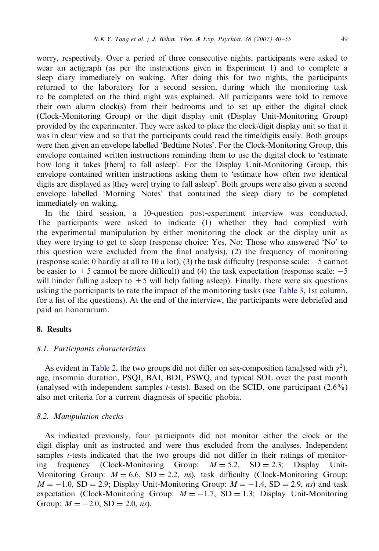worry, respectively. Over a period of three consecutive nights, participants were asked to wear an actigraph (as per the instructions given in Experiment 1) and to complete a sleep diary immediately on waking. After doing this for two nights, the participants returned to the laboratory for a second session, during which the monitoring task to be completed on the third night was explained. All participants were told to remove their own alarm clock(s) from their bedrooms and to set up either the digital clock (Clock-Monitoring Group) or the digit display unit (Display Unit-Monitoring Group) provided by the experimenter. They were asked to place the clock/digit display unit so that it was in clear view and so that the participants could read the time/digits easily. Both groups were then given an envelope labelled 'Bedtime Notes'. For the Clock-Monitoring Group, this envelope contained written instructions reminding them to use the digital clock to 'estimate how long it takes [them] to fall asleep'. For the Display Unit-Monitoring Group, this envelope contained written instructions asking them to 'estimate how often two identical digits are displayed as [they were] trying to fall asleep'. Both groups were also given a second envelope labelled 'Morning Notes' that contained the sleep diary to be completed immediately on waking.

In the third session, a 10-question post-experiment interview was conducted. The participants were asked to indicate (1) whether they had complied with the experimental manipulation by either monitoring the clock or the display unit as they were trying to get to sleep (response choice: Yes, No; Those who answered 'No' to this question were excluded from the final analysis), (2) the frequency of monitoring (response scale: 0 hardly at all to 10 a lot), (3) the task difficulty (response scale: -5 cannot be easier to  $+5$  cannot be more difficult) and (4) the task expectation (response scale:  $-5$ will hinder falling asleep to  $+5$  will help falling asleep). Finally, there were six questions asking the participants to rate the impact of the monitoring tasks (see [Table 3,](#page-11-0) 1st column, for a list of the questions). At the end of the interview, the participants were debriefed and paid an honorarium.

# 8. Results

#### 8.1. Participants characteristics

As evident in [Table 2,](#page-10-0) the two groups did not differ on sex-composition (analysed with  $\chi^2$ ), age, insomnia duration, PSQI, BAI, BDI, PSWQ, and typical SOL over the past month (analysed with independent samples *t*-tests). Based on the SCID, one participant  $(2.6\%)$ also met criteria for a current diagnosis of specific phobia.

#### 8.2. Manipulation checks

As indicated previously, four participants did not monitor either the clock or the digit display unit as instructed and were thus excluded from the analyses. Independent samples t-tests indicated that the two groups did not differ in their ratings of monitoring frequency (Clock-Monitoring Group:  $M = 5.2$ ,  $SD = 2.3$ ; Display Unit-Monitoring Group:  $M = 6.6$ , SD = 2.2, ns), task difficulty (Clock-Monitoring Group:  $M = -1.0$ , SD = 2.9; Display Unit-Monitoring Group:  $M = -1.4$ , SD = 2.9, ns) and task expectation (Clock-Monitoring Group:  $M = -1.7$ , SD = 1.3; Display Unit-Monitoring Group:  $M = -2.0$ , SD = 2.0, ns).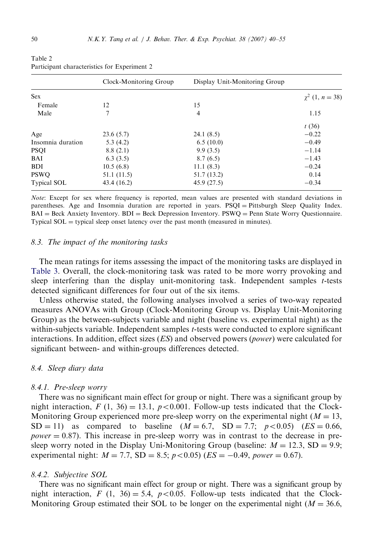|                    | Clock-Monitoring Group | Display Unit-Monitoring Group |                           |
|--------------------|------------------------|-------------------------------|---------------------------|
| <b>Sex</b>         |                        |                               | $\gamma^2$ (1, $n = 38$ ) |
| Female             | 12                     | 15                            |                           |
| Male               | 7                      | 4                             | 1.15                      |
|                    |                        |                               | t(36)                     |
| Age                | 23.6(5.7)              | 24.1(8.5)                     | $-0.22$                   |
| Insomnia duration  | 5.3(4.2)               | 6.5(10.0)                     | $-0.49$                   |
| <b>PSQI</b>        | 8.8(2.1)               | 9.9(3.5)                      | $-1.14$                   |
| BAI                | 6.3(3.5)               | 8.7(6.5)                      | $-1.43$                   |
| <b>BDI</b>         | 10.5(6.8)              | 11.1(8.3)                     | $-0.24$                   |
| <b>PSWO</b>        | 51.1 (11.5)            | 51.7 (13.2)                   | 0.14                      |
| <b>Typical SOL</b> | 43.4 (16.2)            | 45.9(27.5)                    | $-0.34$                   |

<span id="page-10-0"></span>Table 2 Participant characteristics for Experiment 2

Note: Except for sex where frequency is reported, mean values are presented with standard deviations in parentheses. Age and Insomnia duration are reported in years. PSQI = Pittsburgh Sleep Quality Index.  $BAI = Beck$  Anxiety Inventory.  $BDI = Beck$  Depression Inventory.  $PSWQ =$  Penn State Worry Questionnaire. Typical  $SOL =$  typical sleep onset latency over the past month (measured in minutes).

#### 8.3. The impact of the monitoring tasks

The mean ratings for items assessing the impact of the monitoring tasks are displayed in [Table 3](#page-11-0). Overall, the clock-monitoring task was rated to be more worry provoking and sleep interfering than the display unit-monitoring task. Independent samples t-tests detected significant differences for four out of the six items.

Unless otherwise stated, the following analyses involved a series of two-way repeated measures ANOVAs with Group (Clock-Monitoring Group vs. Display Unit-Monitoring Group) as the between-subjects variable and night (baseline vs. experimental night) as the within-subjects variable. Independent samples t-tests were conducted to explore significant interactions. In addition, effect sizes  $(ES)$  and observed powers (*power*) were calculated for significant between- and within-groups differences detected.

# 8.4. Sleep diary data

#### 8.4.1. Pre-sleep worry

There was no significant main effect for group or night. There was a significant group by night interaction,  $F(1, 36) = 13.1$ ,  $p < 0.001$ . Follow-up tests indicated that the Clock-Monitoring Group experienced more pre-sleep worry on the experimental night  $(M = 13,$  $SD = 11$ ) as compared to baseline  $(M = 6.7, SD = 7.7; p < 0.05)$   $(ES = 0.66,$  $power = 0.87$ ). This increase in pre-sleep worry was in contrast to the decrease in presleep worry noted in the Display Uni-Monitoring Group (baseline:  $M = 12.3$ , SD = 9.9; experimental night:  $M = 7.7$ , SD = 8.5;  $p < 0.05$ ) (ES = -0.49, power = 0.67).

#### 8.4.2. Subjective SOL

There was no significant main effect for group or night. There was a significant group by night interaction, F (1, 36) = 5.4,  $p < 0.05$ . Follow-up tests indicated that the Clock-Monitoring Group estimated their SOL to be longer on the experimental night ( $M = 36.6$ ,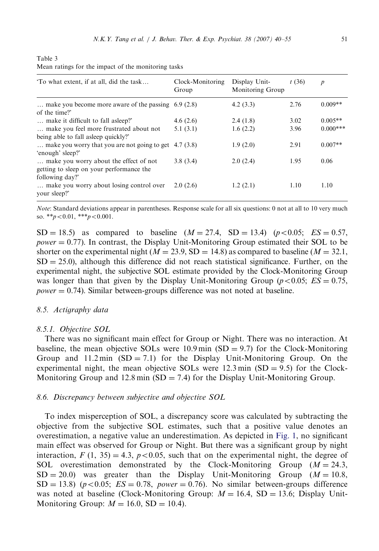| To what extent, if at all, did the task                                                               | Clock-Monitoring<br>Group | Display Unit-<br>Monitoring Group | t(36) | $\boldsymbol{p}$ |
|-------------------------------------------------------------------------------------------------------|---------------------------|-----------------------------------|-------|------------------|
| make you become more aware of the passing $6.9(2.8)$<br>of the time?'                                 |                           | 4.2(3.3)                          | 2.76  | $0.009**$        |
| make it difficult to fall asleep?                                                                     | 4.6(2.6)                  | 2.4(1.8)                          | 3.02  | $0.005**$        |
| make you feel more frustrated about not<br>being able to fall asleep quickly?                         | 5.1(3.1)                  | 1.6(2.2)                          | 3.96  | $0.000***$       |
| make you worry that you are not going to get $(4.7)(3.8)$<br>'enough' sleep?'                         |                           | 1.9(2.0)                          | 2.91  | $0.007**$        |
| make you worry about the effect of not<br>getting to sleep on your performance the<br>following day?' | 3.8(3.4)                  | 2.0(2.4)                          | 1.95  | 0.06             |
| make you worry about losing control over.<br>your sleep?'                                             | 2.0(2.6)                  | 1.2(2.1)                          | 1.10  | 1.10             |

<span id="page-11-0"></span>

| Table 3 |  |  |                                                     |  |
|---------|--|--|-----------------------------------------------------|--|
|         |  |  | Mean ratings for the impact of the monitoring tasks |  |

Note: Standard deviations appear in parentheses. Response scale for all six questions: 0 not at all to 10 very much so. \*\* $p < 0.01$ , \*\*\* $p < 0.001$ .

 $SD = 18.5$ ) as compared to baseline  $(M = 27.4, SD = 13.4)$   $(p < 0.05; ES = 0.57,$  $power = 0.77$ ). In contrast, the Display Unit-Monitoring Group estimated their SOL to be shorter on the experimental night ( $M = 23.9$ , SD = 14.8) as compared to baseline ( $M = 32.1$ ,  $SD = 25.0$ ), although this difference did not reach statistical significance. Further, on the experimental night, the subjective SOL estimate provided by the Clock-Monitoring Group was longer than that given by the Display Unit-Monitoring Group ( $p < 0.05$ ;  $ES = 0.75$ ,  $power = 0.74$ ). Similar between-groups difference was not noted at baseline.

## 8.5. Actigraphy data

#### 8.5.1. Objective SOL

There was no significant main effect for Group or Night. There was no interaction. At baseline, the mean objective SOLs were  $10.9 \text{ min (SD} = 9.7)$  for the Clock-Monitoring Group and  $11.2 \text{min}$  (SD = 7.1) for the Display Unit-Monitoring Group. On the experimental night, the mean objective SOLs were  $12.3 \text{ min (SD} = 9.5)$  for the Clock-Monitoring Group and 12.8 min  $(SD = 7.4)$  for the Display Unit-Monitoring Group.

## 8.6. Discrepancy between subjective and objective SOL

To index misperception of SOL, a discrepancy score was calculated by subtracting the objective from the subjective SOL estimates, such that a positive value denotes an overestimation, a negative value an underestimation. As depicted in [Fig. 1,](#page-12-0) no significant main effect was observed for Group or Night. But there was a significant group by night interaction,  $F(1, 35) = 4.3$ ,  $p < 0.05$ , such that on the experimental night, the degree of SOL overestimation demonstrated by the Clock-Monitoring Group  $(M = 24.3,$  $SD = 20.0$ ) was greater than the Display Unit-Monitoring Group ( $M = 10.8$ ,  $SD = 13.8$ ) ( $p < 0.05$ ;  $ES = 0.78$ , power = 0.76). No similar between-groups difference was noted at baseline (Clock-Monitoring Group:  $M = 16.4$ , SD = 13.6; Display Unit-Monitoring Group:  $M = 16.0$ , SD = 10.4).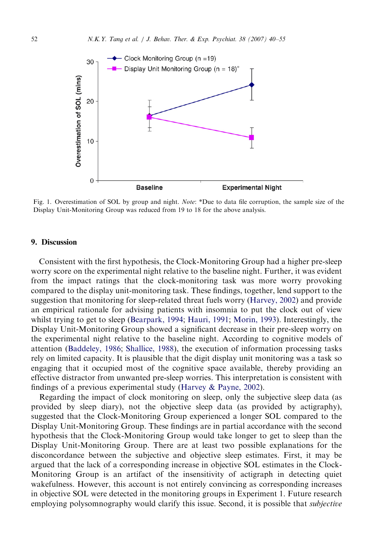<span id="page-12-0"></span>

Fig. 1. Overestimation of SOL by group and night. *Note*: \*Due to data file corruption, the sample size of the Display Unit-Monitoring Group was reduced from 19 to 18 for the above analysis.

## 9. Discussion

Consistent with the first hypothesis, the Clock-Monitoring Group had a higher pre-sleep worry score on the experimental night relative to the baseline night. Further, it was evident from the impact ratings that the clock-monitoring task was more worry provoking compared to the display unit-monitoring task. These findings, together, lend support to the suggestion that monitoring for sleep-related threat fuels worry ([Harvey, 2002](#page-14-0)) and provide an empirical rationale for advising patients with insomnia to put the clock out of view whilst trying to get to sleep ([Bearpark, 1994](#page-14-0); [Hauri, 1991;](#page-15-0) [Morin, 1993](#page-15-0)). Interestingly, the Display Unit-Monitoring Group showed a significant decrease in their pre-sleep worry on the experimental night relative to the baseline night. According to cognitive models of attention ([Baddeley, 1986](#page-14-0); [Shallice, 1988\)](#page-15-0), the execution of information processing tasks rely on limited capacity. It is plausible that the digit display unit monitoring was a task so engaging that it occupied most of the cognitive space available, thereby providing an effective distractor from unwanted pre-sleep worries. This interpretation is consistent with findings of a previous experimental study [\(Harvey](#page-14-0) & [Payne, 2002\)](#page-14-0).

Regarding the impact of clock monitoring on sleep, only the subjective sleep data (as provided by sleep diary), not the objective sleep data (as provided by actigraphy), suggested that the Clock-Monitoring Group experienced a longer SOL compared to the Display Unit-Monitoring Group. These findings are in partial accordance with the second hypothesis that the Clock-Monitoring Group would take longer to get to sleep than the Display Unit-Monitoring Group. There are at least two possible explanations for the disconcordance between the subjective and objective sleep estimates. First, it may be argued that the lack of a corresponding increase in objective SOL estimates in the Clock-Monitoring Group is an artifact of the insensitivity of actigraph in detecting quiet wakefulness. However, this account is not entirely convincing as corresponding increases in objective SOL were detected in the monitoring groups in Experiment 1. Future research employing polysomnography would clarify this issue. Second, it is possible that *subjective*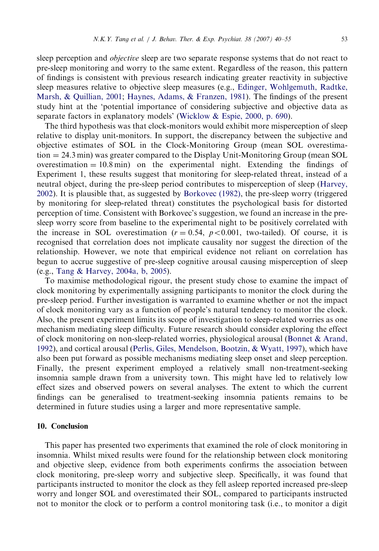sleep perception and *objective* sleep are two separate response systems that do not react to pre-sleep monitoring and worry to the same extent. Regardless of the reason, this pattern of findings is consistent with previous research indicating greater reactivity in subjective sleep measures relative to objective sleep measures (e.g., [Edinger, Wohlgemuth, Radtke,](#page-14-0) [Marsh,](#page-14-0) [& Quillian, 2001](#page-14-0); [Haynes, Adams,](#page-15-0) [& Franzen, 1981\)](#page-15-0). The findings of the present study hint at the 'potential importance of considering subjective and objective data as separate factors in explanatory models' ([Wicklow & Espie, 2000, p. 690](#page-15-0)).

The third hypothesis was that clock-monitors would exhibit more misperception of sleep relative to display unit-monitors. In support, the discrepancy between the subjective and objective estimates of SOL in the Clock-Monitoring Group (mean SOL overestima $t$  tion  $= 24.3$  min) was greater compared to the Display Unit-Monitoring Group (mean SOL overestimation  $= 10.8$  min) on the experimental night. Extending the findings of Experiment 1, these results suggest that monitoring for sleep-related threat, instead of a neutral object, during the pre-sleep period contributes to misperception of sleep [\(Harvey,](#page-14-0) [2002](#page-14-0)). It is plausible that, as suggested by [Borkovec \(1982\)](#page-14-0), the pre-sleep worry (triggered by monitoring for sleep-related threat) constitutes the psychological basis for distorted perception of time. Consistent with Borkovec's suggestion, we found an increase in the presleep worry score from baseline to the experimental night to be positively correlated with the increase in SOL overestimation  $(r = 0.54, p < 0.001$ , two-tailed). Of course, it is recognised that correlation does not implicate causality nor suggest the direction of the relationship. However, we note that empirical evidence not reliant on correlation has begun to accrue suggestive of pre-sleep cognitive arousal causing misperception of sleep (e.g., [Tang & Harvey, 2004a, b, 2005\)](#page-15-0).

To maximise methodological rigour, the present study chose to examine the impact of clock monitoring by experimentally assigning participants to monitor the clock during the pre-sleep period. Further investigation is warranted to examine whether or not the impact of clock monitoring vary as a function of people's natural tendency to monitor the clock. Also, the present experiment limits its scope of investigation to sleep-related worries as one mechanism mediating sleep difficulty. Future research should consider exploring the effect of clock monitoring on non-sleep-related worries, physiological arousal [\(Bonnet & Arand,](#page-14-0) [1992](#page-14-0)), and cortical arousal [\(Perlis, Giles, Mendelson, Bootzin,](#page-15-0) & [Wyatt, 1997](#page-15-0)), which have also been put forward as possible mechanisms mediating sleep onset and sleep perception. Finally, the present experiment employed a relatively small non-treatment-seeking insomnia sample drawn from a university town. This might have led to relatively low effect sizes and observed powers on several analyses. The extent to which the current findings can be generalised to treatment-seeking insomnia patients remains to be determined in future studies using a larger and more representative sample.

# 10. Conclusion

This paper has presented two experiments that examined the role of clock monitoring in insomnia. Whilst mixed results were found for the relationship between clock monitoring and objective sleep, evidence from both experiments confirms the association between clock monitoring, pre-sleep worry and subjective sleep. Specifically, it was found that participants instructed to monitor the clock as they fell asleep reported increased pre-sleep worry and longer SOL and overestimated their SOL, compared to participants instructed not to monitor the clock or to perform a control monitoring task (i.e., to monitor a digit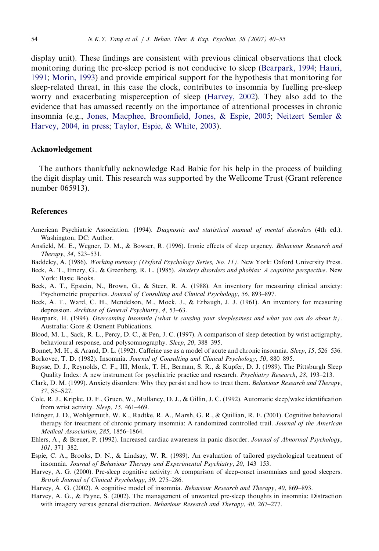<span id="page-14-0"></span>display unit). These findings are consistent with previous clinical observations that clock monitoring during the pre-sleep period is not conducive to sleep (Bearpark, 1994; [Hauri,](#page-15-0) [1991](#page-15-0); [Morin, 1993\)](#page-15-0) and provide empirical support for the hypothesis that monitoring for sleep-related threat, in this case the clock, contributes to insomnia by fuelling pre-sleep worry and exacerbating misperception of sleep (Harvey, 2002). They also add to the evidence that has amassed recently on the importance of attentional processes in chronic insomnia (e.g., [Jones, Macphee, Broomfield, Jones,](#page-15-0) [& Espie, 2005](#page-15-0); [Neitzert Semler &](#page-15-0) [Harvey, 2004, in press;](#page-15-0) [Taylor, Espie, & White, 2003](#page-15-0)).

#### Acknowledgement

The authors thankfully acknowledge Rad Babic for his help in the process of building the digit display unit. This research was supported by the Wellcome Trust (Grant reference number 065913).

#### References

- American Psychiatric Association. (1994). Diagnostic and statistical manual of mental disorders (4th ed.). Washington, DC: Author.
- Ansfield, M. E., Wegner, D. M., & Bowser, R. (1996). Ironic effects of sleep urgency. Behaviour Research and Therapy, 34, 523–531.
- Baddeley, A. (1986). Working memory (Oxford Psychology Series, No. 11). New York: Oxford University Press.
- Beck, A. T., Emery, G., & Greenberg, R. L. (1985). Anxiety disorders and phobias: A cognitive perspective. New York: Basic Books.
- Beck, A. T., Epstein, N., Brown, G., & Steer, R. A. (1988). An inventory for measuring clinical anxiety: Psychometric properties. Journal of Consulting and Clinical Psychology, 56, 893–897.
- Beck, A. T., Ward, C. H., Mendelson, M., Mock, J., & Erbaugh, J. J. (1961). An inventory for measuring depression. Archives of General Psychiatry, 4, 53–63.
- Bearpark, H. (1994). Overcoming Insomnia (what is causing your sleeplessness and what you can do about it). Australia: Gore & Osment Publications.
- Blood, M. L., Sack, R. L., Percy, D. C., & Pen, J. C. (1997). A comparison of sleep detection by wrist actigraphy, behavioural response, and polysomnography. Sleep, 20, 388–395.
- Bonnet, M. H., & Arand, D. L. (1992). Caffeine use as a model of acute and chronic insomnia. Sleep, 15, 526–536.

Borkovec, T. D. (1982). Insomnia. Journal of Consulting and Clinical Psychology, 50, 880–895.

- Buysse, D. J., Reynolds, C. F., III, Monk, T. H., Berman, S. R., & Kupfer, D. J. (1989). The Pittsburgh Sleep Quality Index: A new instrument for psychiatric practice and research. Psychiatry Research, 28, 193-213.
- Clark, D. M. (1999). Anxiety disorders: Why they persist and how to treat them. Behaviour Research and Therapy, 37, S5–S27.
- Cole, R. J., Kripke, D. F., Gruen, W., Mullaney, D. J., & Gillin, J. C. (1992). Automatic sleep/wake identification from wrist activity. Sleep, 15, 461–469.
- Edinger, J. D., Wohlgemuth, W. K., Radtke, R. A., Marsh, G. R., & Quillian, R. E. (2001). Cognitive behavioral therapy for treatment of chronic primary insomnia: A randomized controlled trail. Journal of the American Medical Association, 285, 1856–1864.
- Ehlers, A., & Breuer, P. (1992). Increased cardiac awareness in panic disorder. Journal of Abnormal Psychology, 101, 371–382.
- Espie, C. A., Brooks, D. N., & Lindsay, W. R. (1989). An evaluation of tailored psychological treatment of insomnia. Journal of Behaviour Therapy and Experimental Psychiatry, 20, 143–153.
- Harvey, A. G. (2000). Pre-sleep cognitive activity: A comparison of sleep-onset insomniacs and good sleepers. British Journal of Clinical Psychology, 39, 275–286.
- Harvey, A. G. (2002). A cognitive model of insomnia. Behaviour Research and Therapy, 40, 869–893.
- Harvey, A. G., & Payne, S. (2002). The management of unwanted pre-sleep thoughts in insomnia: Distraction with imagery versus general distraction. Behaviour Research and Therapy, 40, 267–277.